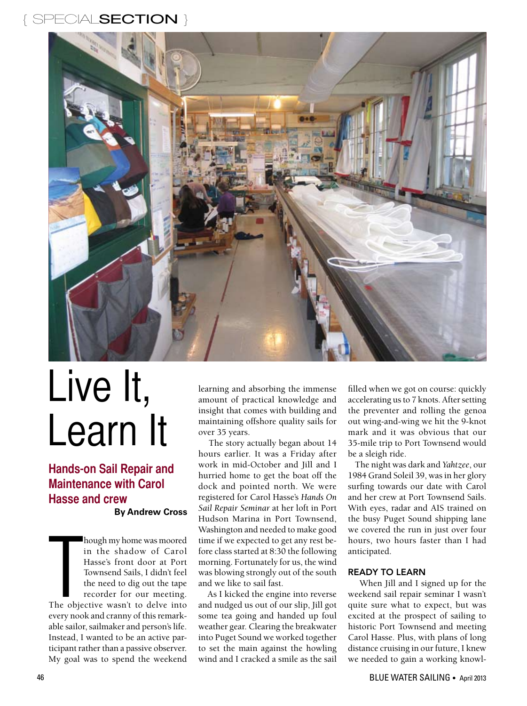## SPECIALSECTION }



# Live It, Learn It

**Hands-on Sail Repair and Maintenance with Carol Hasse and crew By Andrew Cross**

**The object** hough my home was moored in the shadow of Carol Hasse's front door at Port Townsend Sails, I didn't feel the need to dig out the tape recorder for our meeting. The objective wasn't to delve into every nook and cranny of this remarkable sailor, sailmaker and person's life. Instead, I wanted to be an active participant rather than a passive observer. My goal was to spend the weekend

learning and absorbing the immense amount of practical knowledge and insight that comes with building and maintaining offshore quality sails for over 35 years.

 The story actually began about 14 hours earlier. It was a Friday after work in mid-October and Jill and I hurried home to get the boat off the dock and pointed north. We were registered for Carol Hasse's *Hands On Sail Repair Seminar* at her loft in Port Hudson Marina in Port Townsend, Washington and needed to make good time if we expected to get any rest before class started at 8:30 the following morning. Fortunately for us, the wind was blowing strongly out of the south and we like to sail fast.

 As I kicked the engine into reverse and nudged us out of our slip, Jill got some tea going and handed up foul weather gear. Clearing the breakwater into Puget Sound we worked together to set the main against the howling wind and I cracked a smile as the sail

filled when we got on course: quickly accelerating us to 7 knots. After setting the preventer and rolling the genoa out wing-and-wing we hit the 9-knot mark and it was obvious that our 35-mile trip to Port Townsend would be a sleigh ride.

 The night was dark and *Yahtzee*, our 1984 Grand Soleil 39, was in her glory surfing towards our date with Carol and her crew at Port Townsend Sails. With eyes, radar and AIS trained on the busy Puget Sound shipping lane we covered the run in just over four hours, two hours faster than I had anticipated.

#### READY TO LEARN

 When Jill and I signed up for the weekend sail repair seminar I wasn't quite sure what to expect, but was excited at the prospect of sailing to historic Port Townsend and meeting Carol Hasse. Plus, with plans of long distance cruising in our future, I knew we needed to gain a working knowl-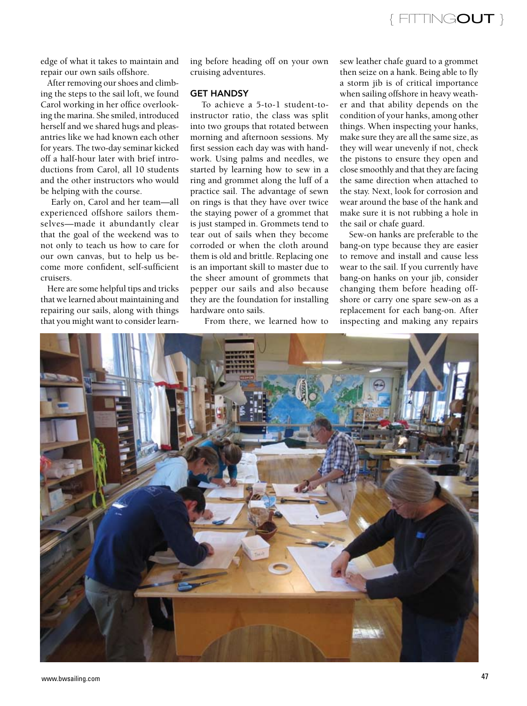{ FITTINGOUT }

edge of what it takes to maintain and repair our own sails offshore.

 After removing our shoes and climbing the steps to the sail loft, we found Carol working in her office overlooking the marina. She smiled, introduced herself and we shared hugs and pleasantries like we had known each other for years. The two-day seminar kicked off a half-hour later with brief introductions from Carol, all 10 students and the other instructors who would be helping with the course.

 Early on, Carol and her team—all experienced offshore sailors themselves—made it abundantly clear that the goal of the weekend was to not only to teach us how to care for our own canvas, but to help us become more confident, self-sufficient cruisers.

 Here are some helpful tips and tricks that we learned about maintaining and repairing our sails, along with things that you might want to consider learning before heading off on your own cruising adventures.

#### GET HANDSY

 To achieve a 5-to-1 student-toinstructor ratio, the class was split into two groups that rotated between morning and afternoon sessions. My first session each day was with handwork. Using palms and needles, we started by learning how to sew in a ring and grommet along the luff of a practice sail. The advantage of sewn on rings is that they have over twice the staying power of a grommet that is just stamped in. Grommets tend to tear out of sails when they become corroded or when the cloth around them is old and brittle. Replacing one is an important skill to master due to the sheer amount of grommets that pepper our sails and also because they are the foundation for installing hardware onto sails.

From there, we learned how to

sew leather chafe guard to a grommet then seize on a hank. Being able to fly a storm jib is of critical importance when sailing offshore in heavy weather and that ability depends on the condition of your hanks, among other things. When inspecting your hanks, make sure they are all the same size, as they will wear unevenly if not, check the pistons to ensure they open and close smoothly and that they are facing the same direction when attached to the stay. Next, look for corrosion and wear around the base of the hank and make sure it is not rubbing a hole in the sail or chafe guard.

 Sew-on hanks are preferable to the bang-on type because they are easier to remove and install and cause less wear to the sail. If you currently have bang-on hanks on your jib, consider changing them before heading offshore or carry one spare sew-on as a replacement for each bang-on. After inspecting and making any repairs

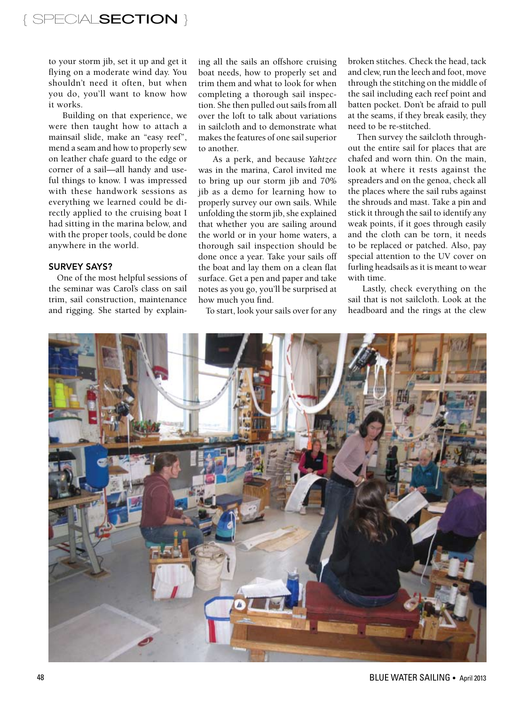to your storm jib, set it up and get it flying on a moderate wind day. You shouldn't need it often, but when you do, you'll want to know how it works.

 Building on that experience, we were then taught how to attach a mainsail slide, make an "easy reef", mend a seam and how to properly sew on leather chafe guard to the edge or corner of a sail—all handy and useful things to know. I was impressed with these handwork sessions as everything we learned could be directly applied to the cruising boat I had sitting in the marina below, and with the proper tools, could be done anywhere in the world.

#### SURVEY SAYS?

 One of the most helpful sessions of the seminar was Carol's class on sail trim, sail construction, maintenance and rigging. She started by explaining all the sails an offshore cruising boat needs, how to properly set and trim them and what to look for when completing a thorough sail inspection. She then pulled out sails from all over the loft to talk about variations in sailcloth and to demonstrate what makes the features of one sail superior to another.

 As a perk, and because *Yahtzee* was in the marina, Carol invited me to bring up our storm jib and 70% jib as a demo for learning how to properly survey our own sails. While unfolding the storm jib, she explained that whether you are sailing around the world or in your home waters, a thorough sail inspection should be done once a year. Take your sails off the boat and lay them on a clean flat surface. Get a pen and paper and take notes as you go, you'll be surprised at how much you find.

To start, look your sails over for any

broken stitches. Check the head, tack and clew, run the leech and foot, move through the stitching on the middle of the sail including each reef point and batten pocket. Don't be afraid to pull at the seams, if they break easily, they need to be re-stitched.

 Then survey the sailcloth throughout the entire sail for places that are chafed and worn thin. On the main, look at where it rests against the spreaders and on the genoa, check all the places where the sail rubs against the shrouds and mast. Take a pin and stick it through the sail to identify any weak points, if it goes through easily and the cloth can be torn, it needs to be replaced or patched. Also, pay special attention to the UV cover on furling headsails as it is meant to wear with time.

 Lastly, check everything on the sail that is not sailcloth. Look at the headboard and the rings at the clew